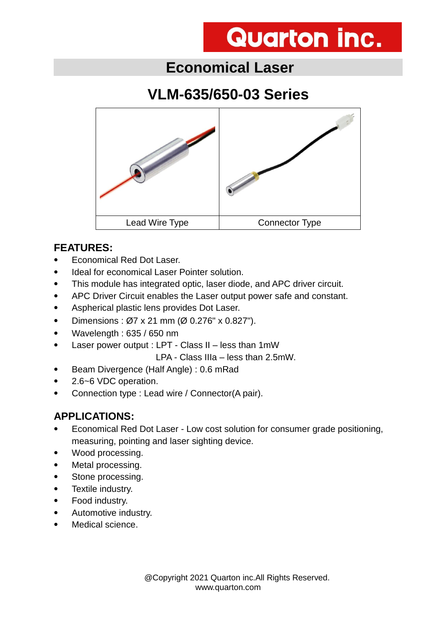## **Economical Laser**

## **VLM-635/650-03 Series**



#### **FEATURES:**

- Economical Red Dot Laser.
- Ideal for economical Laser Pointer solution.
- This module has integrated optic, laser diode, and APC driver circuit.
- APC Driver Circuit enables the Laser output power safe and constant.
- Aspherical plastic lens provides Dot Laser.
- Dimensions :  $\varnothing$ 7 x 21 mm ( $\varnothing$  0.276" x 0.827").
- Wavelength : 635 / 650 nm
- Laser power output : LPT Class II less than 1mW

LPA - Class IIIa – less than 2.5mW.

- Beam Divergence (Half Angle) : 0.6 mRad
- 2.6~6 VDC operation.
- Connection type : Lead wire / Connector(A pair).

#### **APPLICATIONS:**

- Economical Red Dot Laser Low cost solution for consumer grade positioning, measuring, pointing and laser sighting device.
- Wood processing.
- Metal processing.
- Stone processing.
- Textile industry.
- Food industry.
- Automotive industry.
- Medical science.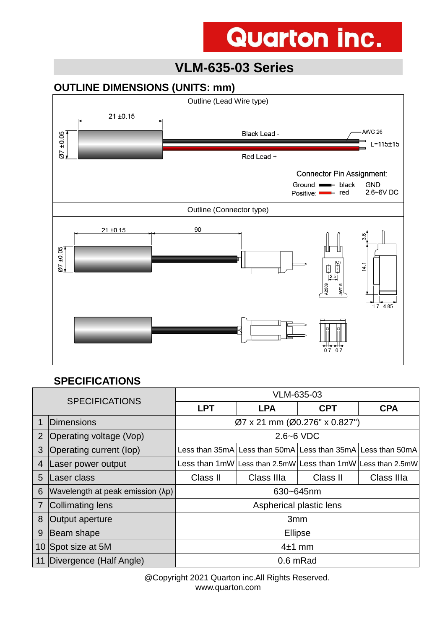### **VLM-635-03 Series**

#### **OUTLINE DIMENSIONS (UNITS: mm)**



#### **SPECIFICATIONS**

| <b>SPECIFICATIONS</b> |                                  | VLM-635-03                    |                                                                   |            |                                                             |
|-----------------------|----------------------------------|-------------------------------|-------------------------------------------------------------------|------------|-------------------------------------------------------------|
|                       |                                  | <b>LPT</b>                    | <b>LPA</b>                                                        | <b>CPT</b> | <b>CPA</b>                                                  |
| 1                     | Dimensions                       | Ø7 x 21 mm (Ø0.276" x 0.827") |                                                                   |            |                                                             |
| 2                     | Operating voltage (Vop)          | $2.6 - 6$ VDC                 |                                                                   |            |                                                             |
| 3                     | Operating current (lop)          |                               | Less than 35mA l Less than 50mA l Less than 35mA l Less than 50mA |            |                                                             |
| $\overline{4}$        | Laser power output               |                               |                                                                   |            | Less than 1mW Less than 2.5mW Less than 1mW Less than 2.5mW |
| 5                     | Laser class                      | Class II                      | Class IIIa                                                        | Class II   | Class IIIa                                                  |
| 6                     | Wavelength at peak emission (λp) | 630~645nm                     |                                                                   |            |                                                             |
| 7                     | Collimating lens                 | Aspherical plastic lens       |                                                                   |            |                                                             |
| 8                     | Output aperture                  | 3mm                           |                                                                   |            |                                                             |
| 9                     | Beam shape                       | <b>Ellipse</b>                |                                                                   |            |                                                             |
|                       | 10 Spot size at 5M               | $4±1$ mm                      |                                                                   |            |                                                             |
| 11                    | Divergence (Half Angle)          | 0.6 mRad                      |                                                                   |            |                                                             |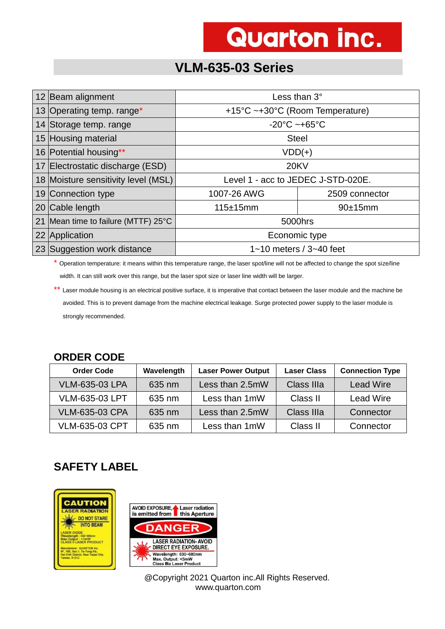### **VLM-635-03 Series**

| 12 Beam alignment                   | Less than $3^\circ$                |  |  |
|-------------------------------------|------------------------------------|--|--|
| 13 Operating temp. range*           | +15°C ~+30°C (Room Temperature)    |  |  |
| 14 Storage temp. range              | $-20^{\circ}$ C ~+65 $^{\circ}$ C  |  |  |
| 15 Housing material                 | <b>Steel</b>                       |  |  |
| 16 Potential housing**              | $VDD(+)$                           |  |  |
| 17 Electrostatic discharge (ESD)    | <b>20KV</b>                        |  |  |
| 18 Moisture sensitivity level (MSL) | Level 1 - acc to JEDEC J-STD-020E. |  |  |
| 19 Connection type                  | 1007-26 AWG<br>2509 connector      |  |  |
| 20 Cable length                     | 115±15mm<br>90±15mm                |  |  |
| 21 Mean time to failure (MTTF) 25°C | 5000hrs                            |  |  |
| 22 Application                      | Economic type                      |  |  |
| 23 Suggestion work distance         | $1 - 10$ meters / $3 - 40$ feet    |  |  |

\* Operation temperature: it means within this temperature range, the laser spot/line will not be affected to change the spot size/line width. It can still work over this range, but the laser spot size or laser line width will be larger.

\*\* Laser module housing is an electrical positive surface, it is imperative that contact between the laser module and the machine be avoided. This is to prevent damage from the machine electrical leakage. Surge protected power supply to the laser module is strongly recommended.

#### **ORDER CODE**

| <b>Order Code</b>     | Wavelength | <b>Laser Power Output</b> | <b>Laser Class</b> | <b>Connection Type</b> |
|-----------------------|------------|---------------------------|--------------------|------------------------|
| <b>VLM-635-03 LPA</b> | 635 nm     | Less than 2.5mW           | Class IIIa         | <b>Lead Wire</b>       |
| <b>VLM-635-03 LPT</b> | 635 nm     | Less than 1mW             | Class II           | <b>Lead Wire</b>       |
| <b>VLM-635-03 CPA</b> | 635 nm     | Less than 2.5mW           | Class IIIa         | Connector              |
| <b>VLM-635-03 CPT</b> | 635 nm     | Less than 1mW             | Class II           | Connector              |

### **SAFETY LABEL**

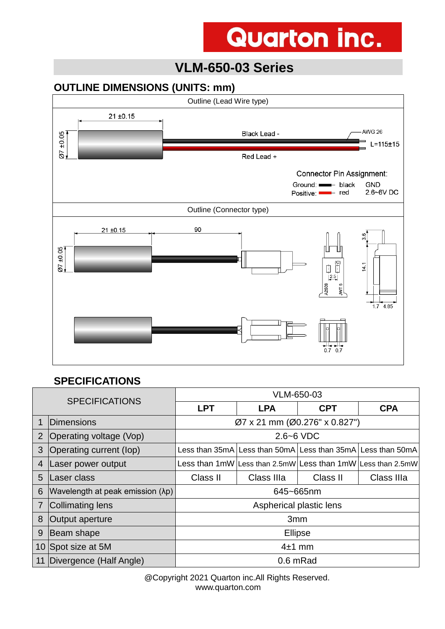## **VLM-650-03 Series**

#### **OUTLINE DIMENSIONS (UNITS: mm)**



#### **SPECIFICATIONS**

| <b>SPECIFICATIONS</b> |                                  | VLM-650-03                    |                                                                   |            |                                                             |
|-----------------------|----------------------------------|-------------------------------|-------------------------------------------------------------------|------------|-------------------------------------------------------------|
|                       |                                  | <b>LPT</b>                    | <b>LPA</b>                                                        | <b>CPT</b> | <b>CPA</b>                                                  |
| 1                     | <b>IDimensions</b>               | Ø7 x 21 mm (Ø0.276" x 0.827") |                                                                   |            |                                                             |
| 2                     | Operating voltage (Vop)          | $2.6 - 6$ VDC                 |                                                                   |            |                                                             |
| 3                     | Operating current (lop)          |                               | Less than 35mA   Less than 50mA   Less than 35mA   Less than 50mA |            |                                                             |
| $\overline{4}$        | Laser power output               |                               |                                                                   |            | Less than 1mW Less than 2.5mW Less than 1mW Less than 2.5mW |
| 5                     | Laser class                      | Class II                      | Class IIIa                                                        | Class II   | Class IIIa                                                  |
| 6                     | Wavelength at peak emission (λp) | 645~665nm                     |                                                                   |            |                                                             |
| 7                     | Collimating lens                 | Aspherical plastic lens       |                                                                   |            |                                                             |
| 8                     | Output aperture                  | 3 <sub>mm</sub>               |                                                                   |            |                                                             |
| 9                     | Beam shape                       | <b>Ellipse</b>                |                                                                   |            |                                                             |
|                       | 10 Spot size at 5M               | $4±1$ mm                      |                                                                   |            |                                                             |
| 11                    | Divergence (Half Angle)          | 0.6 mRad                      |                                                                   |            |                                                             |